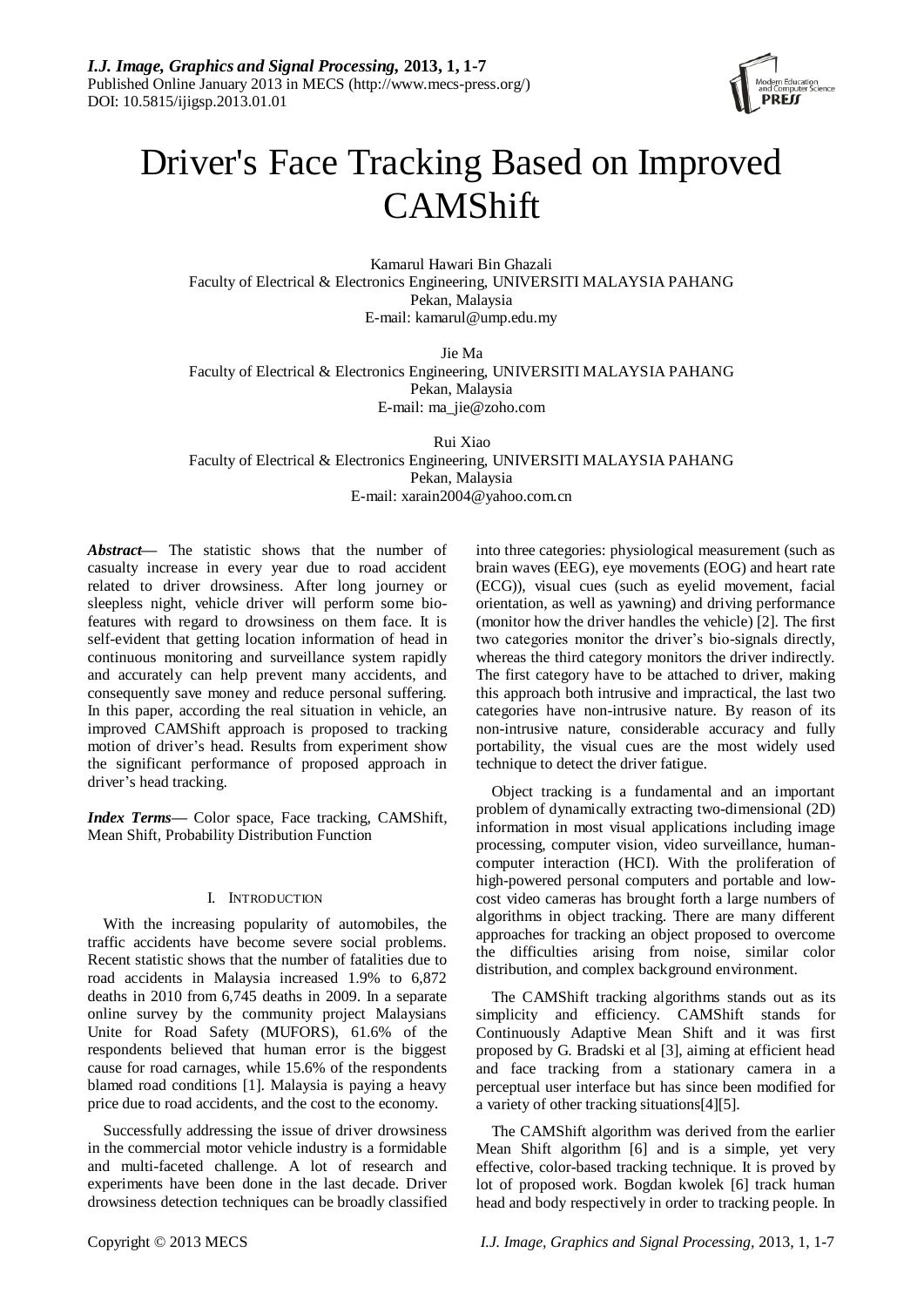

# Driver's Face Tracking Based on Improved **CAMShift**

Kamarul Hawari Bin Ghazali Faculty of Electrical & Electronics Engineering, UNIVERSITI MALAYSIA PAHANG Pekan, Malaysia E-mail: kamarul@ump.edu.my

Jie Ma Faculty of Electrical & Electronics Engineering, UNIVERSITI MALAYSIA PAHANG Pekan, Malaysia E-mail: ma\_jie@zoho.com

Rui Xiao Faculty of Electrical & Electronics Engineering, UNIVERSITI MALAYSIA PAHANG Pekan, Malaysia E-mail: xarain2004@yahoo.com.cn

*Abstract***—** The statistic shows that the number of casualty increase in every year due to road accident related to driver drowsiness. After long journey or sleepless night, vehicle driver will perform some biofeatures with regard to drowsiness on them face. It is self-evident that getting location information of head in continuous monitoring and surveillance system rapidly and accurately can help prevent many accidents, and consequently save money and reduce personal suffering. In this paper, according the real situation in vehicle, an improved CAMShift approach is proposed to tracking motion of driver's head. Results from experiment show the significant performance of proposed approach in driver's head tracking.

*Index Terms—* Color space, Face tracking, CAMShift, Mean Shift, Probability Distribution Function

# I. INTRODUCTION

With the increasing popularity of automobiles, the traffic accidents have become severe social problems. Recent statistic shows that the number of fatalities due to road accidents in Malaysia increased 1.9% to 6,872 deaths in 2010 from 6,745 deaths in 2009. In a separate online survey by the community project Malaysians Unite for Road Safety (MUFORS), 61.6% of the respondents believed that human error is the biggest cause for road carnages, while 15.6% of the respondents blamed road conditions [1]. Malaysia is paying a heavy price due to road accidents, and the cost to the economy.

Successfully addressing the issue of driver drowsiness in the commercial motor vehicle industry is a formidable and multi-faceted challenge. A lot of research and experiments have been done in the last decade. Driver drowsiness detection techniques can be broadly classified into three categories: physiological measurement (such as brain waves (EEG), eye movements (EOG) and heart rate (ECG)), visual cues (such as eyelid movement, facial orientation, as well as yawning) and driving performance (monitor how the driver handles the vehicle) [2]. The first two categories monitor the driver's bio-signals directly, whereas the third category monitors the driver indirectly. The first category have to be attached to driver, making this approach both intrusive and impractical, the last two categories have non-intrusive nature. By reason of its non-intrusive nature, considerable accuracy and fully portability, the visual cues are the most widely used technique to detect the driver fatigue.

Object tracking is a fundamental and an important problem of dynamically extracting two-dimensional (2D) information in most visual applications including image processing, computer vision, video surveillance, humancomputer interaction (HCI). With the proliferation of high-powered personal computers and portable and lowcost video cameras has brought forth a large numbers of algorithms in object tracking. There are many different approaches for tracking an object proposed to overcome the difficulties arising from noise, similar color distribution, and complex background environment.

The CAMShift tracking algorithms stands out as its simplicity and efficiency. CAMShift stands for Continuously Adaptive Mean Shift and it was first proposed by G. Bradski et al [3], aiming at efficient head and face tracking from a stationary camera in a perceptual user interface but has since been modified for a variety of other tracking situations[4][5].

The CAMShift algorithm was derived from the earlier Mean Shift algorithm [6] and is a simple, yet very effective, color-based tracking technique. It is proved by lot of proposed work. Bogdan kwolek [6] track human head and body respectively in order to tracking people. In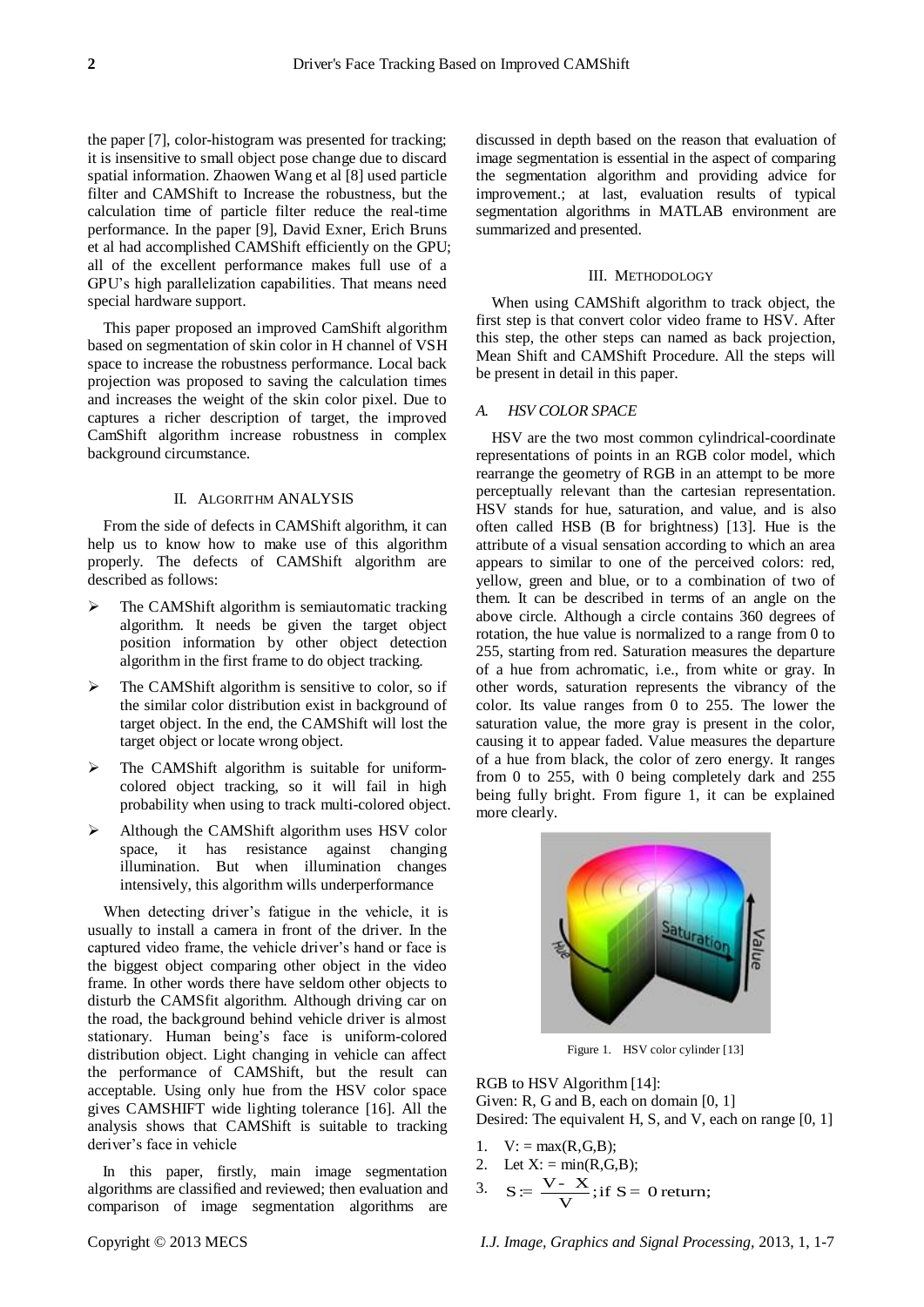the paper [7], color-histogram was presented for tracking; it is insensitive to small object pose change due to discard spatial information. Zhaowen Wang et al [8] used particle filter and CAMShift to Increase the robustness, but the calculation time of particle filter reduce the real-time performance. In the paper [9], David Exner, Erich Bruns et al had accomplished CAMShift efficiently on the GPU; all of the excellent performance makes full use of a GPU's high parallelization capabilities. That means need special hardware support.

This paper proposed an improved CamShift algorithm based on segmentation of skin color in H channel of VSH space to increase the robustness performance. Local back projection was proposed to saving the calculation times and increases the weight of the skin color pixel. Due to captures a richer description of target, the improved CamShift algorithm increase robustness in complex background circumstance.

# II. ALGORITHM ANALYSIS

From the side of defects in CAMShift algorithm, it can help us to know how to make use of this algorithm properly. The defects of CAMShift algorithm are described as follows:

- $\triangleright$  The CAMS hift algorithm is semiautomatic tracking algorithm. It needs be given the target object position information by other object detection algorithm in the first frame to do object tracking.
- $\triangleright$  The CAMS hift algorithm is sensitive to color, so if the similar color distribution exist in background of target object. In the end, the CAMShift will lost the target object or locate wrong object.
- The CAMShift algorithm is suitable for uniformcolored object tracking, so it will fail in high probability when using to track multi-colored object.
- $\triangleright$  Although the CAMS hift algorithm uses HSV color space, it has resistance against changing illumination. But when illumination changes intensively, this algorithm wills underperformance

When detecting driver's fatigue in the vehicle, it is usually to install a camera in front of the driver. In the captured video frame, the vehicle driver's hand or face is the biggest object comparing other object in the video frame. In other words there have seldom other objects to disturb the CAMSfit algorithm. Although driving car on the road, the background behind vehicle driver is almost stationary. Human being's face is uniform-colored distribution object. Light changing in vehicle can affect the performance of CAMShift, but the result can acceptable. Using only hue from the HSV color space gives CAMSHIFT wide lighting tolerance [16]. All the analysis shows that CAMShift is suitable to tracking deriver's face in vehicle

In this paper, firstly, main image segmentation algorithms are classified and reviewed; then evaluation and comparison of image segmentation algorithms are

discussed in depth based on the reason that evaluation of image segmentation is essential in the aspect of comparing the segmentation algorithm and providing advice for improvement.; at last, evaluation results of typical segmentation algorithms in MATLAB environment are summarized and presented.

#### III. METHODOLOGY

When using CAMShift algorithm to track object, the first step is that convert color video frame to HSV. After this step, the other steps can named as back projection, Mean Shift and CAMShift Procedure. All the steps will be present in detail in this paper.

#### *A. HSV COLOR SPACE*

HSV are the two most common [cylindrical-coordinate](http://en.wikipedia.org/wiki/Cylindrical_coordinate_system) representations of points in an [RGB color model,](http://en.wikipedia.org/wiki/RGB_color_model) which rearrange the geometry of RGB in an attempt to be more [perceptually](http://en.wikipedia.org/wiki/Color_vision) relevant than the [cartesian](http://en.wikipedia.org/wiki/Cartesian_coordinate_system) representation. HSV stands for hue, saturation, and value, and is also often called HSB (B for brightness) [13]. Hue is the attribute of a visual sensation according to which an area appears to similar to one of the perceived colors: red, yellow, green and blue, or to a combination of two of them. It can be described in terms of an angle on the above circle. Although a circle contains 360 degrees of rotation, the hue value is normalized to a range from 0 to 255, starting from red. Saturation measures the departure of a hue from achromatic, i.e., from white or gray. In other words, saturation represents the vibrancy of the color. Its value ranges from 0 to 255. The lower the saturation value, the more gray is present in the color, causing it to appear faded. Value measures the departure of a hue from black, the color of zero energy. It ranges from 0 to 255, with 0 being completely dark and 255 being fully bright. From figure 1, it can be explained more clearly.



Figure 1. HSV color cylinder [13]

RGB to HSV Algorithm [14]: Given: R, G and B, each on domain [0, 1] Desired: The equivalent H, S, and V, each on range [0, 1]

1.  $V: = max(R, G, B);$ 

2. Let 
$$
X
$$
: = min( $R$ ,  $G$ ,  $B$ );

2. Let X: = min(R,G,B);  
\n3. 
$$
S = \frac{V - X}{V}
$$
; if S = 0 return;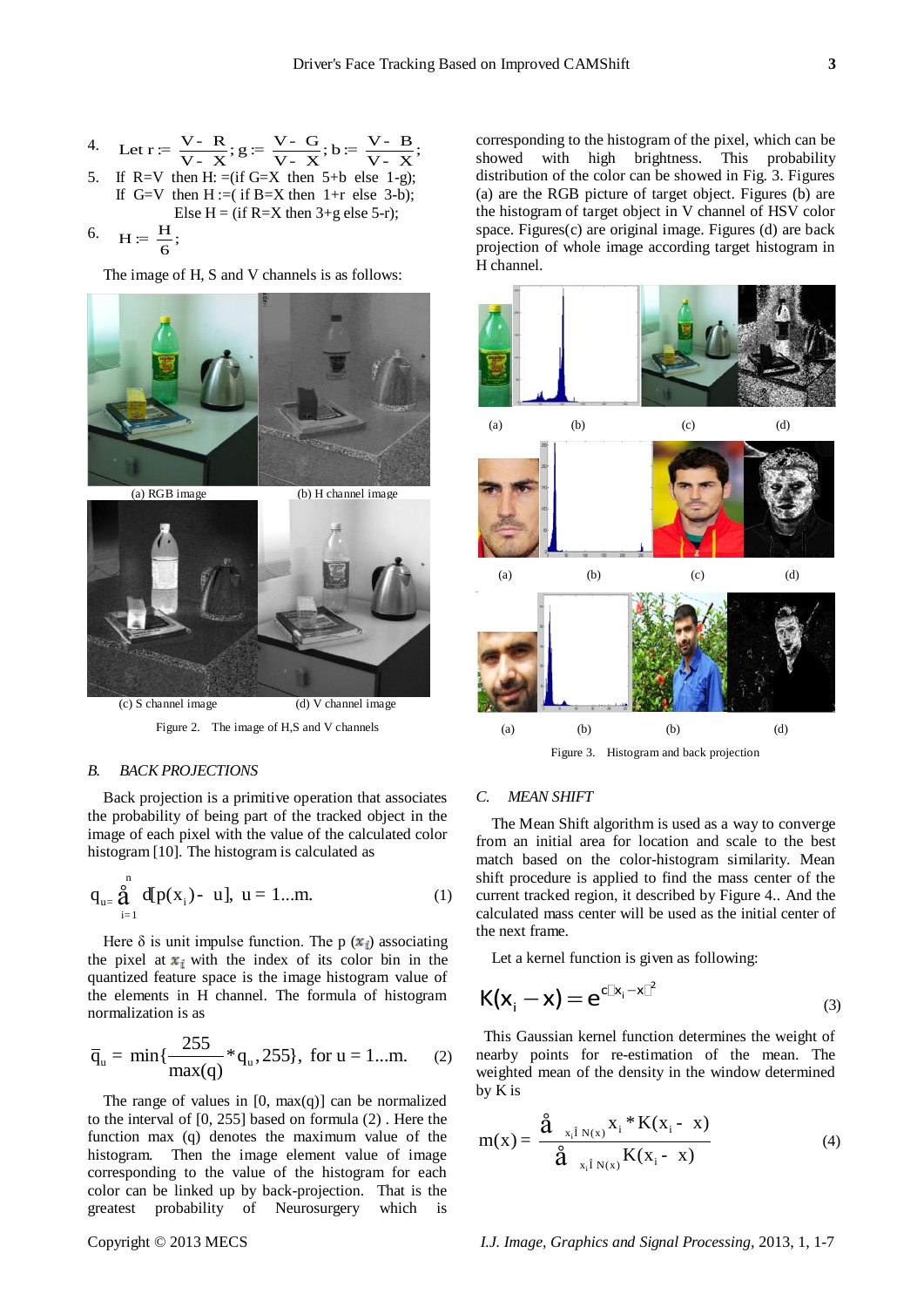4. Let 
$$
r = \frac{V - R}{V - X}
$$
;  $g = \frac{V - G}{V - X}$ ;  $b = \frac{V - B}{V - X}$ ;  
5. If R=V then H: = (if G=X then 5+b else 1-g);

If G=V then  $H := ($  if B=X then  $1+r$  else 3-b); Else H = (if R=X then  $3+g$  else 5-r);

$$
6. \quad H \coloneqq \frac{H}{6};
$$

The image of H, S and V channels is as follows:



Figure 2. The image of H,S and V channels

#### *B. BACK PROJECTIONS*

Back projection is a primitive operation that associates the probability of being part of the tracked object in the image of each pixel with the value of the calculated color histogram [10]. The histogram is calculated as

$$
q_{u} = \sum_{i=1}^{n} d[p(x_i) - u], \ u = 1...m.
$$
 (1)

Here  $\delta$  is unit impulse function. The p  $(\mathbf{x}_i)$  associating the pixel at  $x_i$  with the index of its color bin in the quantized feature space is the image histogram value of the elements in H channel. The formula of histogram normalization is as

$$
\overline{q}_{u} = \min\{\frac{255}{\max(q)} * q_{u}, 255\}, \text{ for } u = 1...m. \tag{2}
$$

The range of values in  $[0, \max(q)]$  can be normalized to the interval of [0, 255] based on formula (2) . Here the function max (q) denotes the maximum value of the histogram. Then the image element value of image corresponding to the value of the histogram for each color can be linked up by back-projection. That is the greatest probability of Neurosurgery which is

corresponding to the histogram of the pixel, which can be showed with high brightness. This probability distribution of the color can be showed in Fig. 3. Figures (a) are the RGB picture of target object. Figures (b) are the histogram of target object in V channel of HSV color space. Figures(c) are original image. Figures (d) are back projection of whole image according target histogram in H channel.



#### *C. MEAN SHIFT*

The Mean Shift algorithm is used as a way to converge from an initial area for location and scale to the best match based on the color-histogram similarity. Mean shift procedure is applied to find the mass center of the current tracked region, it described by Figure 4.. And the calculated mass center will be used as the initial center of the next frame.

Let a kernel function is given as following:

$$
K(x_i - x) = e^{c\mathbb{I}x_i - x\mathbb{I}^2}
$$
\n(3)

This Gaussian kernel function determines the weight of nearby points for re-estimation of the mean. The weighted mean of the density in the window determined by K is

$$
m(x) = \frac{\hat{a}_{x_i \hat{i} N(x)} x_i * K(x_i - x)}{\hat{a}_{x_i \hat{i} N(x)} K(x_i - x)}
$$
(4)

Copyright © 2013 MECS *I.J. Image, Graphics and Signal Processing,* 2013, 1, 1-7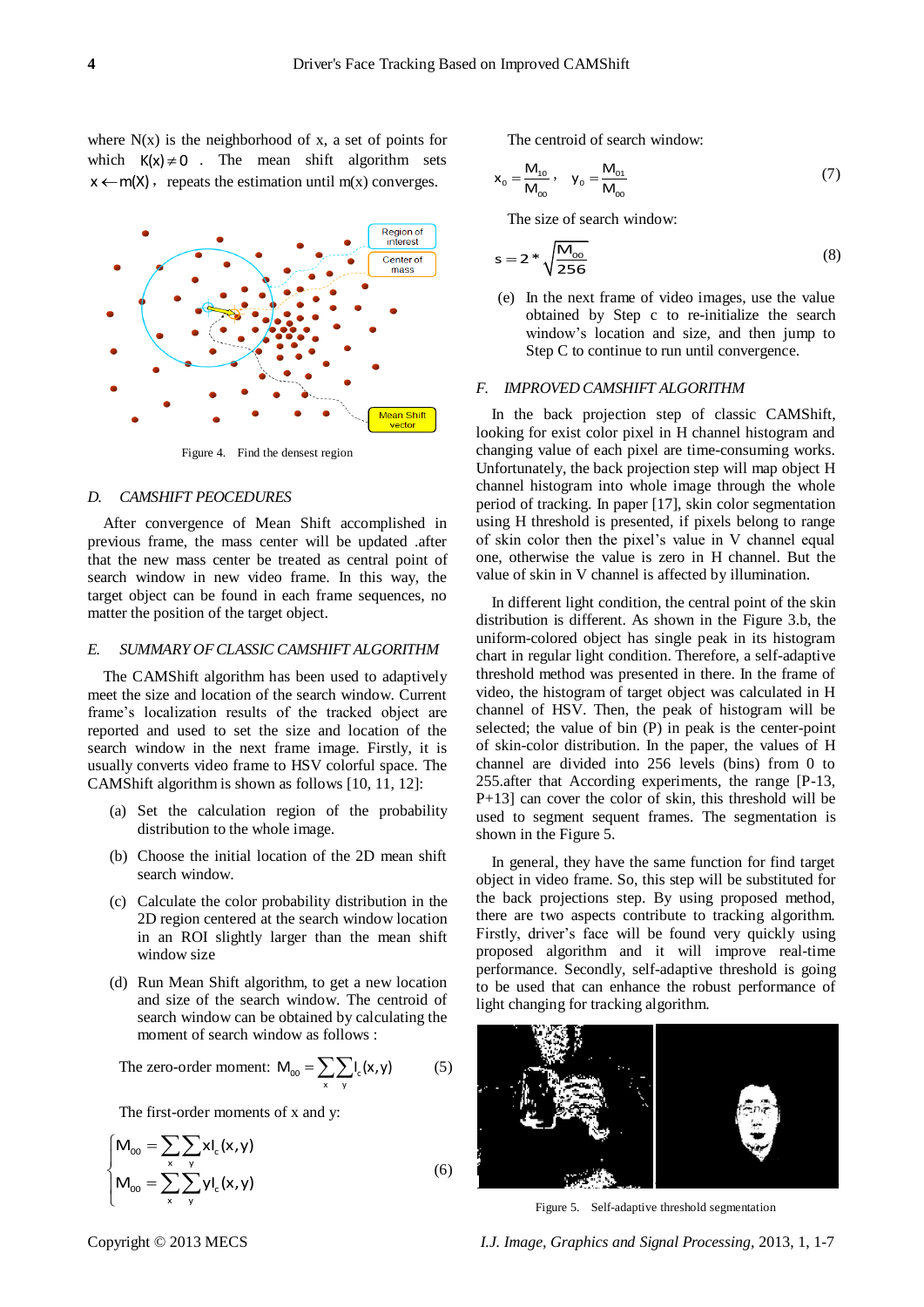where  $N(x)$  is the neighborhood of x, a set of points for which  $K(x) \neq 0$ . The mean shift algorithm sets  $x \leftarrow m(X)$ , repeats the estimation until m(x) converges.



Figure 4. Find the densest region

#### *D. CAMSHIFT PEOCEDURES*

After convergence of Mean Shift accomplished in previous frame, the mass center will be updated .after that the new mass center be treated as central point of search window in new video frame. In this way, the target object can be found in each frame sequences, no matter the position of the target object.

#### *E. SUMMARY OF CLASSIC CAMSHIFT ALGORITHM*

The CAMShift algorithm has been used to adaptively meet the size and location of the search window. Current frame's localization results of the tracked object are reported and used to set the size and location of the search window in the next frame image. Firstly, it is usually converts video frame to HSV colorful space. The CAMShift algorithm is shown as follows [10, 11, 12]:

- (a) Set the calculation region of the probability distribution to the whole image.
- (b) Choose the initial location of the 2D mean shift search window.
- (c) Calculate the color probability distribution in the 2D region centered at the search window location in an ROI slightly larger than the mean shift window size
- (d) Run Mean Shift algorithm, to get a new location and size of the search window. The centroid of search window can be obtained by calculating the moment of search window as follows :

The zero-order moment: 
$$
M_{00} = \sum_{x} \sum_{y} l_c(x, y)
$$
 (5)

The first-order moments of x and y:

$$
\begin{cases}\nM_{00} = \sum_{x} \sum_{y} x I_c(x, y) \\
M_{00} = \sum_{x} \sum_{y} y I_c(x, y)\n\end{cases}
$$
\n(6)

The centroid of search window:

$$
x_0 = \frac{M_{10}}{M_{00}}, \quad y_0 = \frac{M_{01}}{M_{00}}
$$
 (7)

The size of search window:

$$
s = 2 * \sqrt{\frac{M_{00}}{256}}
$$
 (8)

(e) In the next frame of video images, use the value obtained by Step c to re-initialize the search window's location and size, and then jump to Step C to continue to run until convergence.

# *F. IMPROVED CAMSHIFT ALGORITHM*

In the back projection step of classic CAMShift, looking for exist color pixel in H channel histogram and changing value of each pixel are time-consuming works. Unfortunately, the back projection step will map object H channel histogram into whole image through the whole period of tracking. In paper [17], skin color segmentation using H threshold is presented, if pixels belong to range of skin color then the pixel's value in V channel equal one, otherwise the value is zero in H channel. But the value of skin in V channel is affected by illumination.

In different light condition, the central point of the skin distribution is different. As shown in the Figure 3.b, the uniform-colored object has single peak in its histogram chart in regular light condition. Therefore, a self-adaptive threshold method was presented in there. In the frame of video, the histogram of target object was calculated in H channel of HSV. Then, the peak of histogram will be selected; the value of bin (P) in peak is the center-point of skin-color distribution. In the paper, the values of H channel are divided into 256 levels (bins) from 0 to 255.after that According experiments, the range [P-13, P+13] can cover the color of skin, this threshold will be used to segment sequent frames. The segmentation is shown in the Figure 5.

In general, they have the same function for find target object in video frame. So, this step will be substituted for the back projections step. By using proposed method, there are two aspects contribute to tracking algorithm. Firstly, driver's face will be found very quickly using proposed algorithm and it will improve real-time performance. Secondly, self-adaptive threshold is going to be used that can enhance the robust performance of light changing for tracking algorithm.



Figure 5. Self-adaptive threshold segmentation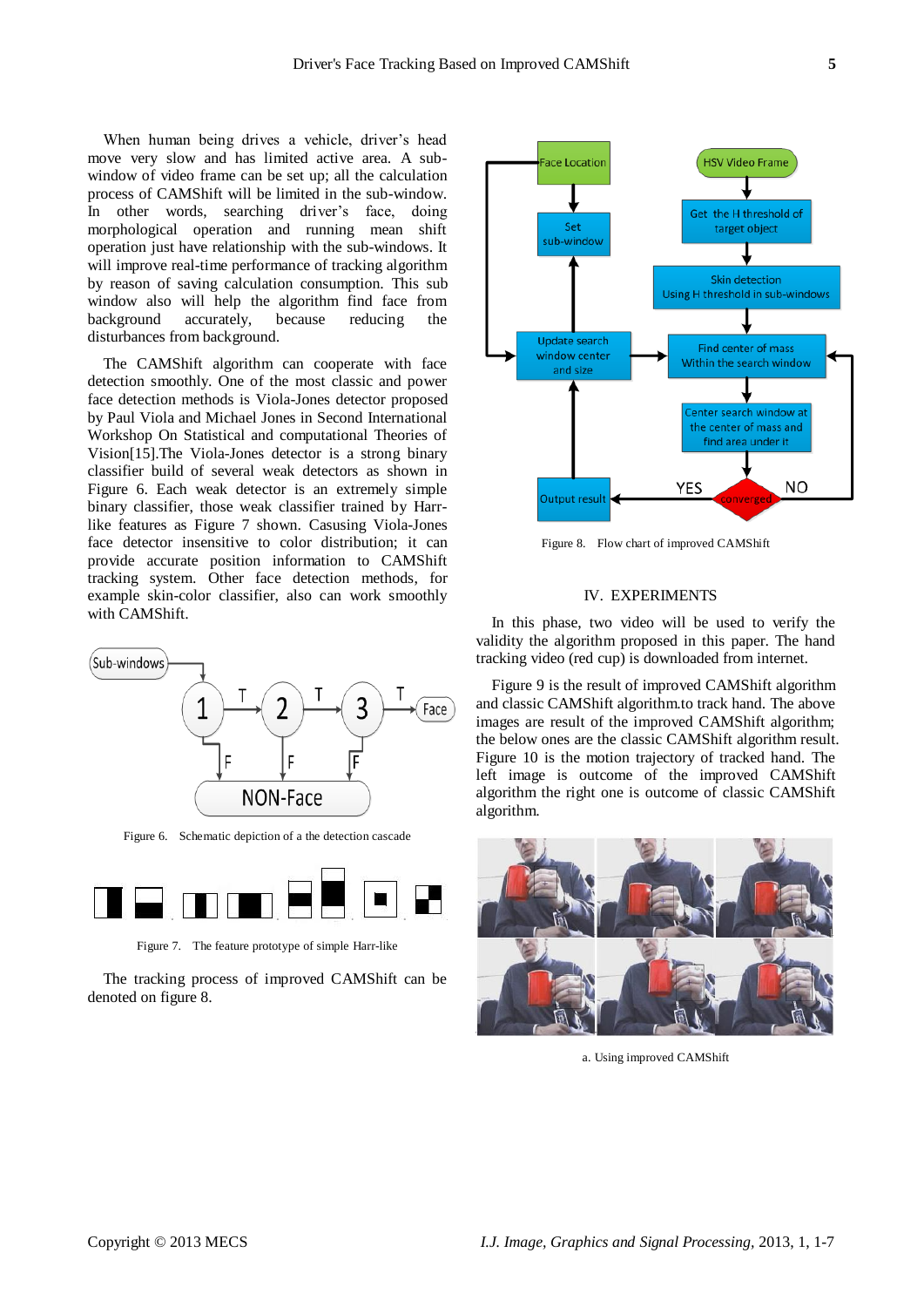When human being drives a vehicle, driver's head move very slow and has limited active area. A subwindow of video frame can be set up; all the calculation process of CAMShift will be limited in the sub-window. In other words, searching driver's face, doing morphological operation and running mean shift operation just have relationship with the sub-windows. It will improve real-time performance of tracking algorithm by reason of saving calculation consumption. This sub window also will help the algorithm find face from<br>background accurately, because reducing the background accurately, because reducing the disturbances from background.

The CAMShift algorithm can cooperate with face detection smoothly. One of the most classic and power face detection methods is Viola-Jones detector proposed by Paul Viola and Michael Jones in Second International Workshop On Statistical and computational Theories of Vision[15].The Viola-Jones detector is a strong binary classifier build of several weak detectors as shown in Figure 6. Each weak detector is an extremely simple binary classifier, those weak classifier trained by Harrlike features as Figure 7 shown. Casusing Viola-Jones face detector insensitive to color distribution; it can provide accurate position information to CAMShift tracking system. Other face detection methods, for example skin-color classifier, also can work smoothly with CAMShift.



Figure 6. Schematic depiction of a the detection cascade



Figure 7. The feature prototype of simple Harr-like

The tracking process of improved CAMShift can be denoted on figure 8.



Figure 8. Flow chart of improved CAMShift

#### IV. EXPERIMENTS

In this phase, two video will be used to verify the validity the algorithm proposed in this paper. The hand tracking video (red cup) is downloaded from internet.

Figure 9 is the result of improved CAMShift algorithm and classic CAMShift algorithm.to track hand. The above images are result of the improved CAMShift algorithm; the below ones are the classic CAMShift algorithm result. Figure 10 is the motion trajectory of tracked hand. The left image is outcome of the improved CAMShift algorithm the right one is outcome of classic CAMShift algorithm.



a. Using improved CAMShift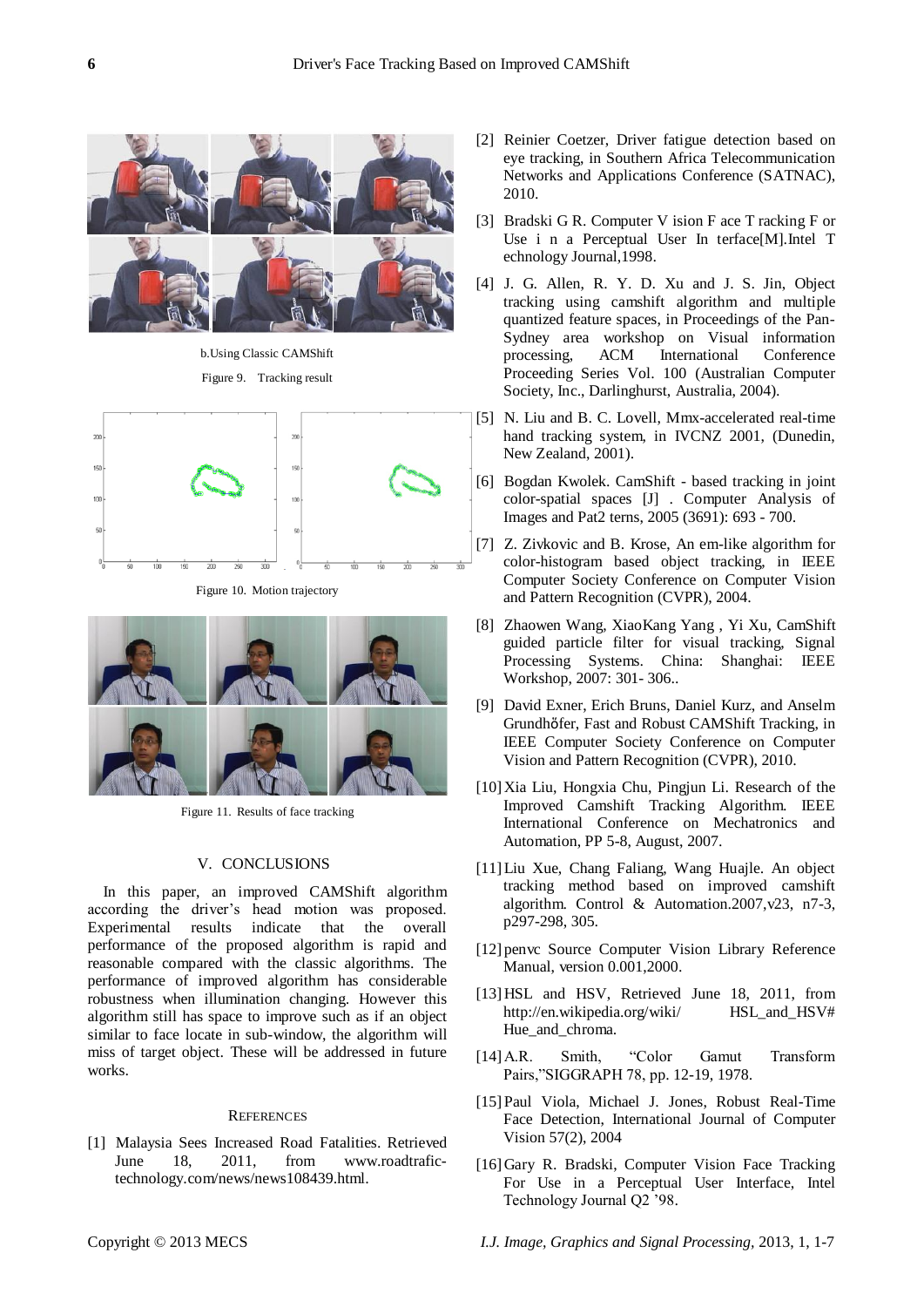

b.Using Classic CAMShift Figure 9. Tracking result



Figure 10. Motion trajectory



Figure 11. Results of face tracking

## V. CONCLUSIONS

In this paper, an improved CAMShift algorithm according the driver's head motion was proposed. Experimental results indicate that the overall performance of the proposed algorithm is rapid and reasonable compared with the classic algorithms. The performance of improved algorithm has considerable robustness when illumination changing. However this algorithm still has space to improve such as if an object similar to face locate in sub-window, the algorithm will miss of target object. These will be addressed in future works.

#### **REFERENCES**

[1] Malaysia Sees Increased Road Fatalities. Retrieved June 18, 2011, from www.roadtrafictechnology.com/news/news108439.html.

- [2] Reinier Coetzer, Driver fatigue detection based on eye tracking, in Southern Africa Telecommunication Networks and Applications Conference (SATNAC), 2010.
- [3] Bradski G R. Computer V ision F ace T racking F or Use i n a Perceptual User In terface[M].Intel T echnology Journal,1998.
- [4] J. G. Allen, R. Y. D. Xu and J. S. Jin, Object tracking using camshift algorithm and multiple quantized feature spaces, in Proceedings of the Pan-Sydney area workshop on Visual information processing, ACM International Conference Proceeding Series Vol. 100 (Australian Computer Society, Inc., Darlinghurst, Australia, 2004).
- [5] N. Liu and B. C. Lovell, Mmx-accelerated real-time hand tracking system, in IVCNZ 2001, (Dunedin, New Zealand, 2001).
- [6] Bogdan Kwolek. CamShift based tracking in joint color-spatial spaces [J] . Computer Analysis of Images and Pat2 terns, 2005 (3691): 693 - 700.
- [7] Z. Zivkovic and B. Krose, An em-like algorithm for color-histogram based object tracking, in IEEE Computer Society Conference on Computer Vision and Pattern Recognition (CVPR), 2004.
- [8] Zhaowen Wang, XiaoKang Yang , Yi Xu, CamShift guided particle filter for visual tracking, Signal Processing Systems. China: Shanghai: IEEE Workshop, 2007: 301- 306..
- [9] David Exner, Erich Bruns, Daniel Kurz, and Anselm Grundhὅfer, Fast and Robust CAMShift Tracking, in IEEE Computer Society Conference on Computer Vision and Pattern Recognition (CVPR), 2010.
- [10]Xia Liu, Hongxia Chu, Pingjun Li. Research of the Improved Camshift Tracking Algorithm. IEEE International Conference on Mechatronics and Automation, PP 5-8, August, 2007.
- [11]Liu Xue, Chang Faliang, Wang Huajle. An object tracking method based on improved camshift algorithm. Control & Automation.2007,v23, n7-3, p297-298, 305.
- [12] penvc Source Computer Vision Library Reference Manual, version 0.001,2000.
- [13] HSL and HSV, Retrieved June 18, 2011, from http://en.wikipedia.org/wiki/ HSL\_and\_HSV# Hue\_and\_chroma.
- [14]A.R. Smith, "Color Gamut Transform Pairs,"SIGGRAPH 78, pp. 12-19, 1978.
- [15]Paul Viola, Michael J. Jones, Robust Real-Time Face Detection, International Journal of Computer Vision 57(2), 2004
- [16]Gary R. Bradski, Computer Vision Face Tracking For Use in a Perceptual User Interface, Intel Technology Journal Q2 '98.